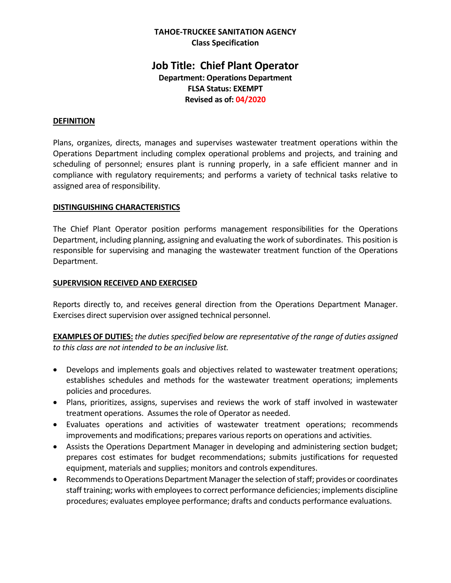## **TAHOE-TRUCKEE SANITATION AGENCY Class Specification**

# **Job Title: Chief Plant Operator Department: Operations Department FLSA Status: EXEMPT Revised as of: 04/2020**

### **DEFINITION**

Plans, organizes, directs, manages and supervises wastewater treatment operations within the Operations Department including complex operational problems and projects, and training and scheduling of personnel; ensures plant is running properly, in a safe efficient manner and in compliance with regulatory requirements; and performs a variety of technical tasks relative to assigned area of responsibility.

#### **DISTINGUISHING CHARACTERISTICS**

The Chief Plant Operator position performs management responsibilities for the Operations Department, including planning, assigning and evaluating the work of subordinates. This position is responsible for supervising and managing the wastewater treatment function of the Operations Department.

### **SUPERVISION RECEIVED AND EXERCISED**

Reports directly to, and receives general direction from the Operations Department Manager. Exercises direct supervision over assigned technical personnel.

**EXAMPLES OF DUTIES:** *the duties specified below are representative of the range of duties assigned to this class are not intended to be an inclusive list.*

- Develops and implements goals and objectives related to wastewater treatment operations; establishes schedules and methods for the wastewater treatment operations; implements policies and procedures.
- Plans, prioritizes, assigns, supervises and reviews the work of staff involved in wastewater treatment operations. Assumes the role of Operator as needed.
- Evaluates operations and activities of wastewater treatment operations; recommends improvements and modifications; prepares various reports on operations and activities.
- Assists the Operations Department Manager in developing and administering section budget; prepares cost estimates for budget recommendations; submits justifications for requested equipment, materials and supplies; monitors and controls expenditures.
- Recommends to Operations Department Manager the selection of staff; provides or coordinates staff training; works with employees to correct performance deficiencies; implements discipline procedures; evaluates employee performance; drafts and conducts performance evaluations.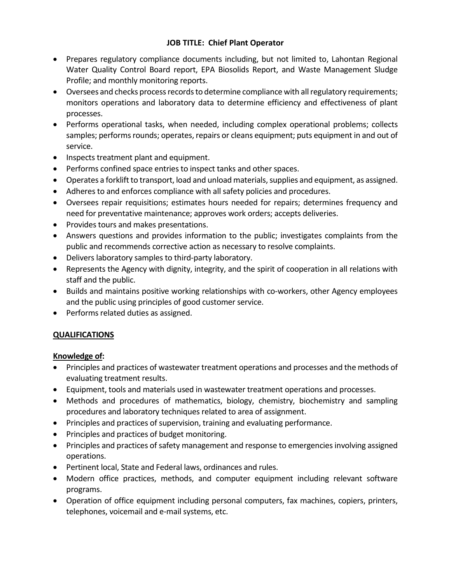- Prepares regulatory compliance documents including, but not limited to, Lahontan Regional Water Quality Control Board report, EPA Biosolids Report, and Waste Management Sludge Profile; and monthly monitoring reports.
- Oversees and checks process records to determine compliance with all regulatory requirements; monitors operations and laboratory data to determine efficiency and effectiveness of plant processes.
- Performs operational tasks, when needed, including complex operational problems; collects samples; performs rounds; operates, repairs or cleans equipment; puts equipment in and out of service.
- Inspects treatment plant and equipment.
- Performs confined space entries to inspect tanks and other spaces.
- Operates a forklift to transport, load and unload materials, supplies and equipment, as assigned.
- Adheres to and enforces compliance with all safety policies and procedures.
- Oversees repair requisitions; estimates hours needed for repairs; determines frequency and need for preventative maintenance; approves work orders; accepts deliveries.
- Provides tours and makes presentations.
- Answers questions and provides information to the public; investigates complaints from the public and recommends corrective action as necessary to resolve complaints.
- Delivers laboratory samples to third-party laboratory.
- Represents the Agency with dignity, integrity, and the spirit of cooperation in all relations with staff and the public.
- Builds and maintains positive working relationships with co-workers, other Agency employees and the public using principles of good customer service.
- Performs related duties as assigned.

# **QUALIFICATIONS**

# **Knowledge of:**

- Principles and practices of wastewater treatment operations and processes and the methods of evaluating treatment results.
- Equipment, tools and materials used in wastewater treatment operations and processes.
- Methods and procedures of mathematics, biology, chemistry, biochemistry and sampling procedures and laboratory techniques related to area of assignment.
- Principles and practices of supervision, training and evaluating performance.
- Principles and practices of budget monitoring.
- Principles and practices of safety management and response to emergencies involving assigned operations.
- Pertinent local, State and Federal laws, ordinances and rules.
- Modern office practices, methods, and computer equipment including relevant software programs.
- Operation of office equipment including personal computers, fax machines, copiers, printers, telephones, voicemail and e-mail systems, etc.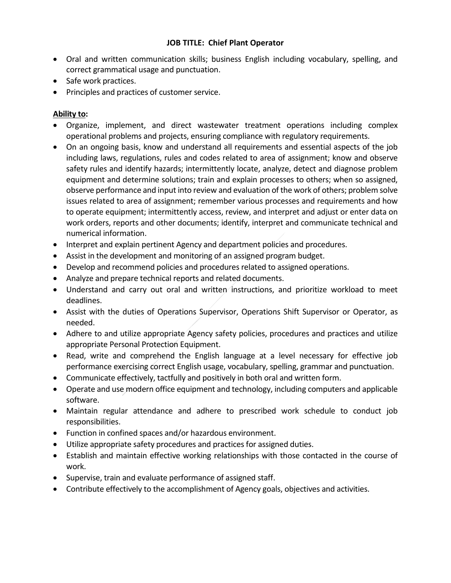- Oral and written communication skills; business English including vocabulary, spelling, and correct grammatical usage and punctuation.
- Safe work practices.
- Principles and practices of customer service.

# **Ability to:**

- Organize, implement, and direct wastewater treatment operations including complex operational problems and projects, ensuring compliance with regulatory requirements.
- On an ongoing basis, know and understand all requirements and essential aspects of the job including laws, regulations, rules and codes related to area of assignment; know and observe safety rules and identify hazards; intermittently locate, analyze, detect and diagnose problem equipment and determine solutions; train and explain processes to others; when so assigned, observe performance and input into review and evaluation of the work of others; problem solve issues related to area of assignment; remember various processes and requirements and how to operate equipment; intermittently access, review, and interpret and adjust or enter data on work orders, reports and other documents; identify, interpret and communicate technical and numerical information.
- Interpret and explain pertinent Agency and department policies and procedures.
- Assist in the development and monitoring of an assigned program budget.
- Develop and recommend policies and procedures related to assigned operations.
- Analyze and prepare technical reports and related documents.
- Understand and carry out oral and written instructions, and prioritize workload to meet deadlines.
- Assist with the duties of Operations Supervisor, Operations Shift Supervisor or Operator, as needed.
- Adhere to and utilize appropriate Agency safety policies, procedures and practices and utilize appropriate Personal Protection Equipment.
- Read, write and comprehend the English language at a level necessary for effective job performance exercising correct English usage, vocabulary, spelling, grammar and punctuation.
- Communicate effectively, tactfully and positively in both oral and written form.
- Operate and use modern office equipment and technology, including computers and applicable software.
- Maintain regular attendance and adhere to prescribed work schedule to conduct job responsibilities.
- Function in confined spaces and/or hazardous environment.
- Utilize appropriate safety procedures and practices for assigned duties.
- Establish and maintain effective working relationships with those contacted in the course of work.
- Supervise, train and evaluate performance of assigned staff.
- Contribute effectively to the accomplishment of Agency goals, objectives and activities.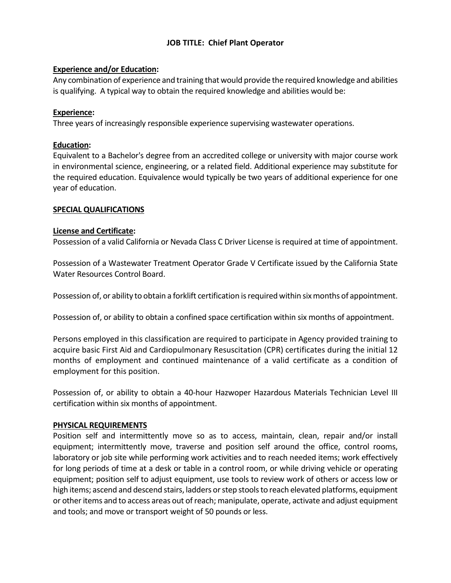### **Experience and/or Education:**

Any combination of experience and training that would provide the required knowledge and abilities is qualifying. A typical way to obtain the required knowledge and abilities would be:

### **Experience:**

Three years of increasingly responsible experience supervising wastewater operations.

### **Education:**

Equivalent to a Bachelor's degree from an accredited college or university with major course work in environmental science, engineering, or a related field. Additional experience may substitute for the required education. Equivalence would typically be two years of additional experience for one year of education.

### **SPECIAL QUALIFICATIONS**

#### **License and Certificate:**

Possession of a valid California or Nevada Class C Driver License is required at time of appointment.

Possession of a Wastewater Treatment Operator Grade V Certificate issued by the California State Water Resources Control Board.

Possession of, or ability to obtain a forklift certification is required within six months of appointment.

Possession of, or ability to obtain a confined space certification within six months of appointment.

Persons employed in this classification are required to participate in Agency provided training to acquire basic First Aid and Cardiopulmonary Resuscitation (CPR) certificates during the initial 12 months of employment and continued maintenance of a valid certificate as a condition of employment for this position.

Possession of, or ability to obtain a 40-hour Hazwoper Hazardous Materials Technician Level III certification within six months of appointment.

#### **PHYSICAL REQUIREMENTS**

Position self and intermittently move so as to access, maintain, clean, repair and/or install equipment; intermittently move, traverse and position self around the office, control rooms, laboratory or job site while performing work activities and to reach needed items; work effectively for long periods of time at a desk or table in a control room, or while driving vehicle or operating equipment; position self to adjust equipment, use tools to review work of others or access low or high items; ascend and descend stairs, ladders or step stools to reach elevated platforms, equipment or other items and to access areas out of reach; manipulate, operate, activate and adjust equipment and tools; and move or transport weight of 50 pounds or less.